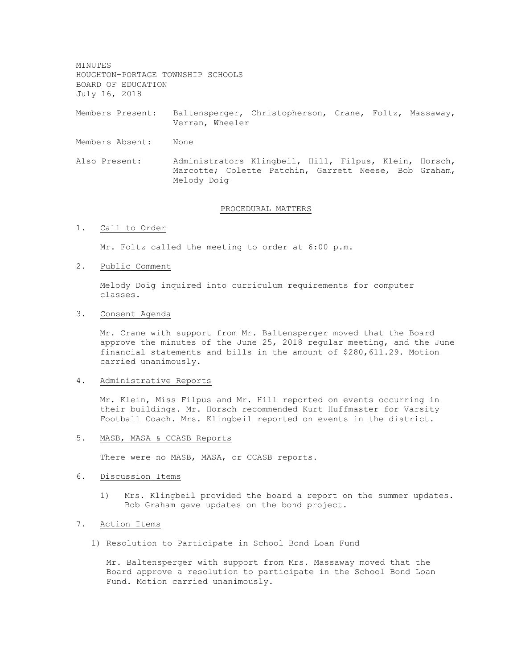MINUTES HOUGHTON-PORTAGE TOWNSHIP SCHOOLS BOARD OF EDUCATION July 16, 2018

Members Present: Baltensperger, Christopherson, Crane, Foltz, Massaway, Verran, Wheeler

- Members Absent: None
- Also Present: Administrators Klingbeil, Hill, Filpus, Klein, Horsch, Marcotte; Colette Patchin, Garrett Neese, Bob Graham, Melody Doig

#### PROCEDURAL MATTERS

1. Call to Order

Mr. Foltz called the meeting to order at 6:00 p.m.

2. Public Comment

Melody Doig inquired into curriculum requirements for computer classes.

3. Consent Agenda

Mr. Crane with support from Mr. Baltensperger moved that the Board approve the minutes of the June 25, 2018 regular meeting, and the June financial statements and bills in the amount of \$280,611.29. Motion carried unanimously.

### 4. Administrative Reports

Mr. Klein, Miss Filpus and Mr. Hill reported on events occurring in their buildings. Mr. Horsch recommended Kurt Huffmaster for Varsity Football Coach. Mrs. Klingbeil reported on events in the district.

5. MASB, MASA & CCASB Reports

There were no MASB, MASA, or CCASB reports.

#### 6. Discussion Items

1) Mrs. Klingbeil provided the board a report on the summer updates. Bob Graham gave updates on the bond project.

### 7. Action Items

1) Resolution to Participate in School Bond Loan Fund

Mr. Baltensperger with support from Mrs. Massaway moved that the Board approve a resolution to participate in the School Bond Loan Fund. Motion carried unanimously.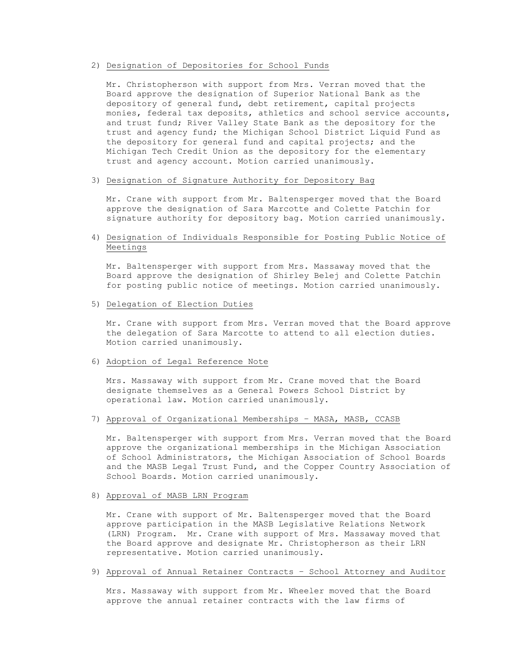### 2) Designation of Depositories for School Funds

Mr. Christopherson with support from Mrs. Verran moved that the Board approve the designation of Superior National Bank as the depository of general fund, debt retirement, capital projects monies, federal tax deposits, athletics and school service accounts, and trust fund; River Valley State Bank as the depository for the trust and agency fund; the Michigan School District Liquid Fund as the depository for general fund and capital projects; and the Michigan Tech Credit Union as the depository for the elementary trust and agency account. Motion carried unanimously.

#### 3) Designation of Signature Authority for Depository Bag

Mr. Crane with support from Mr. Baltensperger moved that the Board approve the designation of Sara Marcotte and Colette Patchin for signature authority for depository bag. Motion carried unanimously.

# 4) Designation of Individuals Responsible for Posting Public Notice of Meetings

Mr. Baltensperger with support from Mrs. Massaway moved that the Board approve the designation of Shirley Belej and Colette Patchin for posting public notice of meetings. Motion carried unanimously.

#### 5) Delegation of Election Duties

Mr. Crane with support from Mrs. Verran moved that the Board approve the delegation of Sara Marcotte to attend to all election duties. Motion carried unanimously.

#### 6) Adoption of Legal Reference Note

Mrs. Massaway with support from Mr. Crane moved that the Board designate themselves as a General Powers School District by operational law. Motion carried unanimously.

### 7) Approval of Organizational Memberships – MASA, MASB, CCASB

Mr. Baltensperger with support from Mrs. Verran moved that the Board approve the organizational memberships in the Michigan Association of School Administrators, the Michigan Association of School Boards and the MASB Legal Trust Fund, and the Copper Country Association of School Boards. Motion carried unanimously.

### 8) Approval of MASB LRN Program

Mr. Crane with support of Mr. Baltensperger moved that the Board approve participation in the MASB Legislative Relations Network (LRN) Program. Mr. Crane with support of Mrs. Massaway moved that the Board approve and designate Mr. Christopherson as their LRN representative. Motion carried unanimously.

#### 9) Approval of Annual Retainer Contracts – School Attorney and Auditor

Mrs. Massaway with support from Mr. Wheeler moved that the Board approve the annual retainer contracts with the law firms of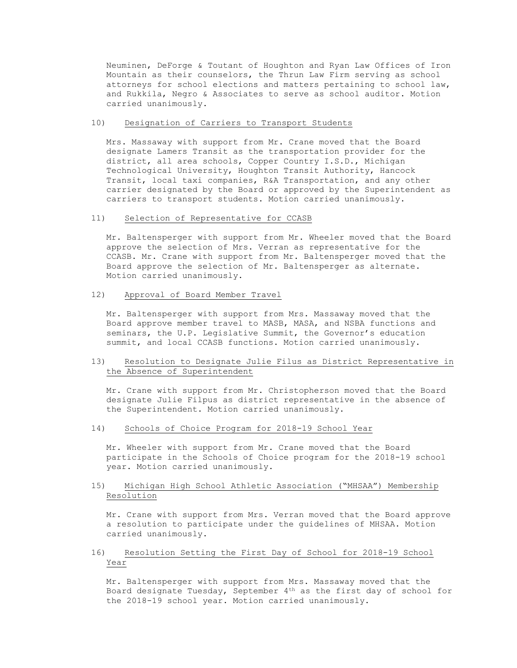Neuminen, DeForge & Toutant of Houghton and Ryan Law Offices of Iron Mountain as their counselors, the Thrun Law Firm serving as school attorneys for school elections and matters pertaining to school law, and Rukkila, Negro & Associates to serve as school auditor. Motion carried unanimously.

#### 10) Designation of Carriers to Transport Students

Mrs. Massaway with support from Mr. Crane moved that the Board designate Lamers Transit as the transportation provider for the district, all area schools, Copper Country I.S.D., Michigan Technological University, Houghton Transit Authority, Hancock Transit, local taxi companies, R&A Transportation, and any other carrier designated by the Board or approved by the Superintendent as carriers to transport students. Motion carried unanimously.

### 11) Selection of Representative for CCASB

Mr. Baltensperger with support from Mr. Wheeler moved that the Board approve the selection of Mrs. Verran as representative for the CCASB. Mr. Crane with support from Mr. Baltensperger moved that the Board approve the selection of Mr. Baltensperger as alternate. Motion carried unanimously.

#### 12) Approval of Board Member Travel

Mr. Baltensperger with support from Mrs. Massaway moved that the Board approve member travel to MASB, MASA, and NSBA functions and seminars, the U.P. Legislative Summit, the Governor's education summit, and local CCASB functions. Motion carried unanimously.

## 13) Resolution to Designate Julie Filus as District Representative in the Absence of Superintendent

Mr. Crane with support from Mr. Christopherson moved that the Board designate Julie Filpus as district representative in the absence of the Superintendent. Motion carried unanimously.

#### 14) Schools of Choice Program for 2018-19 School Year

Mr. Wheeler with support from Mr. Crane moved that the Board participate in the Schools of Choice program for the 2018-19 school year. Motion carried unanimously.

## 15) Michigan High School Athletic Association ("MHSAA") Membership Resolution

Mr. Crane with support from Mrs. Verran moved that the Board approve a resolution to participate under the guidelines of MHSAA. Motion carried unanimously.

## 16) Resolution Setting the First Day of School for 2018-19 School Year

Mr. Baltensperger with support from Mrs. Massaway moved that the Board designate Tuesday, September 4th as the first day of school for the 2018-19 school year. Motion carried unanimously.